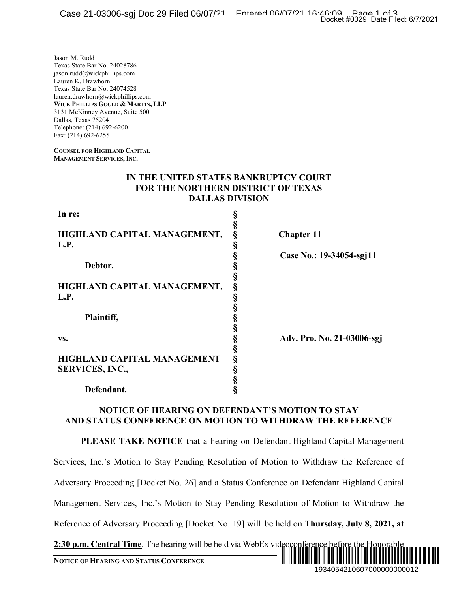## **IN THE UNITED STATES BANKRUPTCY COURT FOR THE NORTHERN DISTRICT OF TEXAS DALLAS DIVISION**

|                                                                                                                                                                                                                                                                                                                           | Docket #0029 Date Filed: 6/7/2021                                                                            |
|---------------------------------------------------------------------------------------------------------------------------------------------------------------------------------------------------------------------------------------------------------------------------------------------------------------------------|--------------------------------------------------------------------------------------------------------------|
| Jason M. Rudd<br>Texas State Bar No. 24028786<br>jason.rudd@wickphillips.com<br>Lauren K. Drawhorn<br>Texas State Bar No. 24074528<br>lauren.drawhorn@wickphillips.com<br>WICK PHILLIPS GOULD & MARTIN, LLP<br>3131 McKinney Avenue, Suite 500<br>Dallas, Texas 75204<br>Telephone: (214) 692-6200<br>Fax: (214) 692-6255 |                                                                                                              |
| Counsel for Highland Capital<br><b>MANAGEMENT SERVICES, INC.</b>                                                                                                                                                                                                                                                          |                                                                                                              |
|                                                                                                                                                                                                                                                                                                                           | IN THE UNITED STATES BANKRUPTCY COURT<br><b>FOR THE NORTHERN DISTRICT OF TEXAS</b><br><b>DALLAS DIVISION</b> |
| In re:                                                                                                                                                                                                                                                                                                                    | §<br>§                                                                                                       |
| HIGHLAND CAPITAL MANAGEMENT,<br>L.P.                                                                                                                                                                                                                                                                                      | §<br><b>Chapter 11</b>                                                                                       |
| Debtor.                                                                                                                                                                                                                                                                                                                   | §<br>Case No.: 19-34054-sgj11<br>§                                                                           |
| HIGHLAND CAPITAL MANAGEMENT,<br>L.P.                                                                                                                                                                                                                                                                                      | §<br>§<br>§                                                                                                  |
| Plaintiff,                                                                                                                                                                                                                                                                                                                | §<br>§                                                                                                       |
| VS.                                                                                                                                                                                                                                                                                                                       | §<br>Adv. Pro. No. 21-03006-sgj<br>Ş                                                                         |
| HIGHLAND CAPITAL MANAGEMENT<br><b>SERVICES, INC.,</b>                                                                                                                                                                                                                                                                     | Ş<br>§<br>§                                                                                                  |
| Defendant.                                                                                                                                                                                                                                                                                                                | Ş                                                                                                            |
|                                                                                                                                                                                                                                                                                                                           | NOTICE OF HEARING ON DEFENDANT'S MOTION TO STAY<br>AND STATUS CONFERENCE ON MOTION TO WITHDRAW THE REFERENCE |
|                                                                                                                                                                                                                                                                                                                           | PLEASE TAKE NOTICE that a hearing on Defendant Highland Capital Management                                   |
|                                                                                                                                                                                                                                                                                                                           | Services, Inc.'s Motion to Stay Pending Resolution of Motion to Withdraw the Reference of                    |
|                                                                                                                                                                                                                                                                                                                           | Adversary Proceeding [Docket No. 26] and a Status Conference on Defendant Highland Capital                   |
|                                                                                                                                                                                                                                                                                                                           | Management Services, Inc.'s Motion to Stay Pending Resolution of Motion to Withdraw the                      |
|                                                                                                                                                                                                                                                                                                                           | Reference of Adversary Proceeding [Docket No. 19] will be held on <b>Thursday</b> , July 8, 2021, at         |
| NOTICE OF HEARING AND STATUS CONFERENCE                                                                                                                                                                                                                                                                                   | 2:30 p.m. Central Time. The hearing will be held via WebEx videoconference before the Honorable              |
|                                                                                                                                                                                                                                                                                                                           | 1934054210607000000000012                                                                                    |

## **NOTICE OF HEARING ON DEFENDANT'S MOTION TO STAY AND STATUS CONFERENCE ON MOTION TO WITHDRAW THE REFERENCE**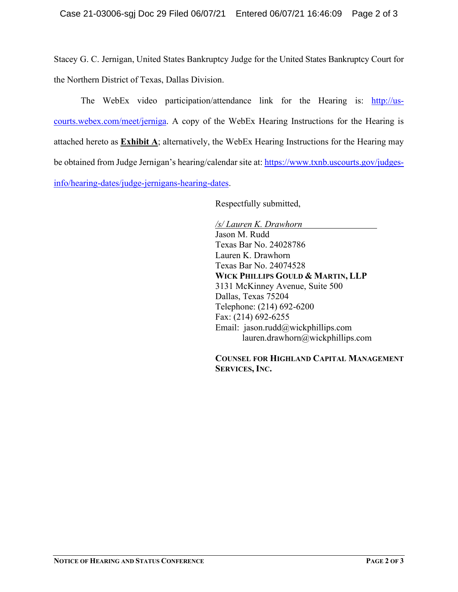Stacey G. C. Jernigan, United States Bankruptcy Judge for the United States Bankruptcy Court for the Northern District of Texas, Dallas Division.

The WebEx video participation/attendance link for the Hearing is: [http://us](http://us-courts.webex.com/meet/jerniga)[courts.webex.com/meet/jerniga.](http://us-courts.webex.com/meet/jerniga) A copy of the WebEx Hearing Instructions for the Hearing is attached hereto as **Exhibit A**; alternatively, the WebEx Hearing Instructions for the Hearing may be obtained from Judge Jernigan's hearing/calendar site at[: https://www.txnb.uscourts.gov/judges](https://www.txnb.uscourts.gov/judges-info/hearing-dates/judge-jernigans-hearing-dates)[info/hearing-dates/judge-jernigans-hearing-dates.](https://www.txnb.uscourts.gov/judges-info/hearing-dates/judge-jernigans-hearing-dates)

Respectfully submitted,

*/s/ Lauren K. Drawhorn* Jason M. Rudd Texas Bar No. 24028786 Lauren K. Drawhorn Texas Bar No. 24074528 **WICK PHILLIPS GOULD & MARTIN, LLP** 3131 McKinney Avenue, Suite 500 Dallas, Texas 75204 Telephone: (214) 692-6200 Fax: (214) 692-6255 Email: jason.rudd@wickphillips.com lauren.drawhorn@wickphillips.com

**COUNSEL FOR HIGHLAND CAPITAL MANAGEMENT SERVICES, INC.**